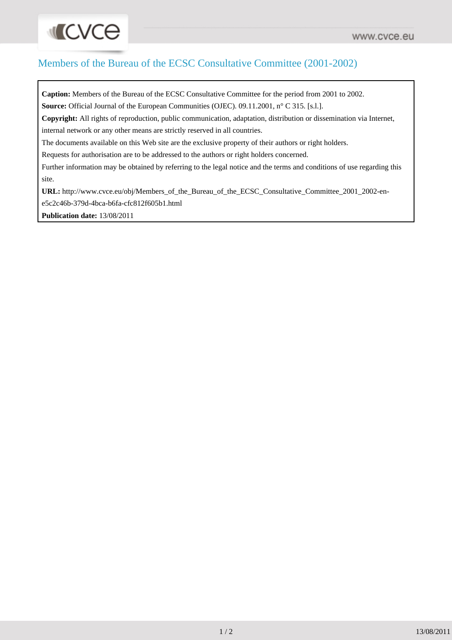## Members of the Bureau of the ECSC Consultative Committee (2001-2002)

**Caption:** Members of the Bureau of the ECSC Consultative Committee for the period from 2001 to 2002. Source: Official Journal of the European Communities (OJEC). 09.11.2001, n° C 315. [s.l.]. **Copyright:** All rights of reproduction, public communication, adaptation, distribution or dissemination via Internet, internal network or any other means are strictly reserved in all countries. The documents available on this Web site are the exclusive property of their authors or right holders. Requests for authorisation are to be addressed to the authors or right holders concerned. Further information may be obtained by referring to the legal notice and the terms and conditions of use regarding this site. **URL:** http://www.cvce.eu/obj/Members\_of\_the\_Bureau\_of\_the\_ECSC\_Consultative\_Committee\_2001\_2002-ene5c2c46b-379d-4bca-b6fa-cfc812f605b1.html

**Publication date:** 13/08/2011

**INCACE**